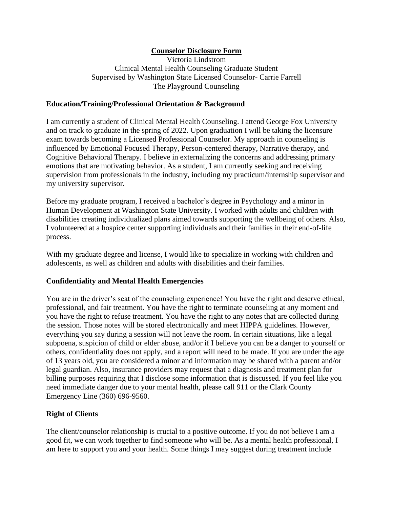# **Counselor Disclosure Form**

Victoria Lindstrom Clinical Mental Health Counseling Graduate Student Supervised by Washington State Licensed Counselor- Carrie Farrell The Playground Counseling

## **Education/Training/Professional Orientation & Background**

I am currently a student of Clinical Mental Health Counseling. I attend George Fox University and on track to graduate in the spring of 2022. Upon graduation I will be taking the licensure exam towards becoming a Licensed Professional Counselor. My approach in counseling is influenced by Emotional Focused Therapy, Person-centered therapy, Narrative therapy, and Cognitive Behavioral Therapy. I believe in externalizing the concerns and addressing primary emotions that are motivating behavior. As a student, I am currently seeking and receiving supervision from professionals in the industry, including my practicum/internship supervisor and my university supervisor.

Before my graduate program, I received a bachelor's degree in Psychology and a minor in Human Development at Washington State University. I worked with adults and children with disabilities creating individualized plans aimed towards supporting the wellbeing of others. Also, I volunteered at a hospice center supporting individuals and their families in their end-of-life process.

With my graduate degree and license, I would like to specialize in working with children and adolescents, as well as children and adults with disabilities and their families.

## **Confidentiality and Mental Health Emergencies**

You are in the driver's seat of the counseling experience! You have the right and deserve ethical, professional, and fair treatment. You have the right to terminate counseling at any moment and you have the right to refuse treatment. You have the right to any notes that are collected during the session. Those notes will be stored electronically and meet HIPPA guidelines. However, everything you say during a session will not leave the room. In certain situations, like a legal subpoena, suspicion of child or elder abuse, and/or if I believe you can be a danger to yourself or others, confidentiality does not apply, and a report will need to be made. If you are under the age of 13 years old, you are considered a minor and information may be shared with a parent and/or legal guardian. Also, insurance providers may request that a diagnosis and treatment plan for billing purposes requiring that I disclose some information that is discussed. If you feel like you need immediate danger due to your mental health, please call 911 or the Clark County Emergency Line (360) 696-9560.

## **Right of Clients**

The client/counselor relationship is crucial to a positive outcome. If you do not believe I am a good fit, we can work together to find someone who will be. As a mental health professional, I am here to support you and your health. Some things I may suggest during treatment include